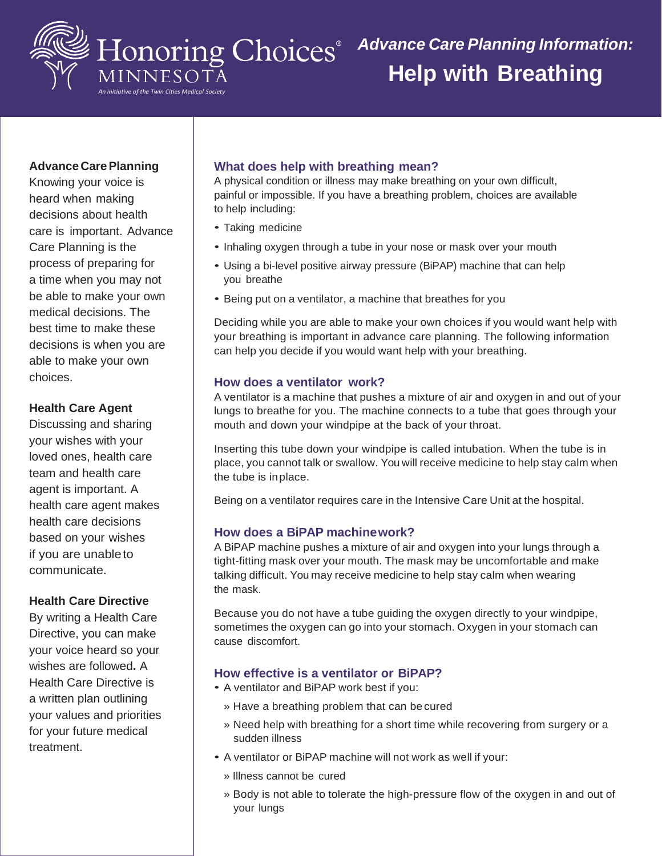

### **Advance Care Planning**

Knowing your voice is heard when making decisions about health care is important. Advance Care Planning is the process of preparing for a time when you may not be able to make your own medical decisions. The best time to make these decisions is when you are able to make your own choices.

### **Health Care Agent**

Discussing and sharing your wishes with your loved ones, health care team and health care agent is important. A health care agent makes health care decisions based on your wishes if you are unableto communicate.

### **Health Care Directive**

By writing a Health Care Directive, you can make your voice heard so your wishes are followed**.** A Health Care Directive is a written plan outlining your values and priorities for your future medical treatment.

### **What does help with breathing mean?**

A physical condition or illness may make breathing on your own difficult, painful or impossible. If you have a breathing problem, choices are available to help including:

- Taking medicine
- Inhaling oxygen through a tube in your nose or mask over your mouth
- Using a bi-level positive airway pressure (BiPAP) machine that can help you breathe
- Being put on a ventilator, a machine that breathes for you

Deciding while you are able to make your own choices if you would want help with your breathing is important in advance care planning. The following information can help you decide if you would want help with your breathing.

### **How does a ventilator work?**

A ventilator is a machine that pushes a mixture of air and oxygen in and out of your lungs to breathe for you. The machine connects to a tube that goes through your mouth and down your windpipe at the back of your throat.

Inserting this tube down your windpipe is called intubation. When the tube is in place, you cannot talk or swallow. You will receive medicine to help stay calm when the tube is inplace.

Being on a ventilator requires care in the Intensive Care Unit at the hospital.

### **How does a BiPAP machinework?**

A BiPAP machine pushes a mixture of air and oxygen into your lungs through a tight-fitting mask over your mouth. The mask may be uncomfortable and make talking difficult. You may receive medicine to help stay calm when wearing the mask.

Because you do not have a tube guiding the oxygen directly to your windpipe, sometimes the oxygen can go into your stomach. Oxygen in your stomach can cause discomfort.

## **How effective is a ventilator or BiPAP?**

- A ventilator and BiPAP work best if you:
	- » Have a breathing problem that can becured
	- » Need help with breathing for a short time while recovering from surgery or a sudden illness
- A ventilator or BiPAP machine will not work as well if your:
	- » Illness cannot be cured
	- » Body is not able to tolerate the high-pressure flow of the oxygen in and out of your lungs